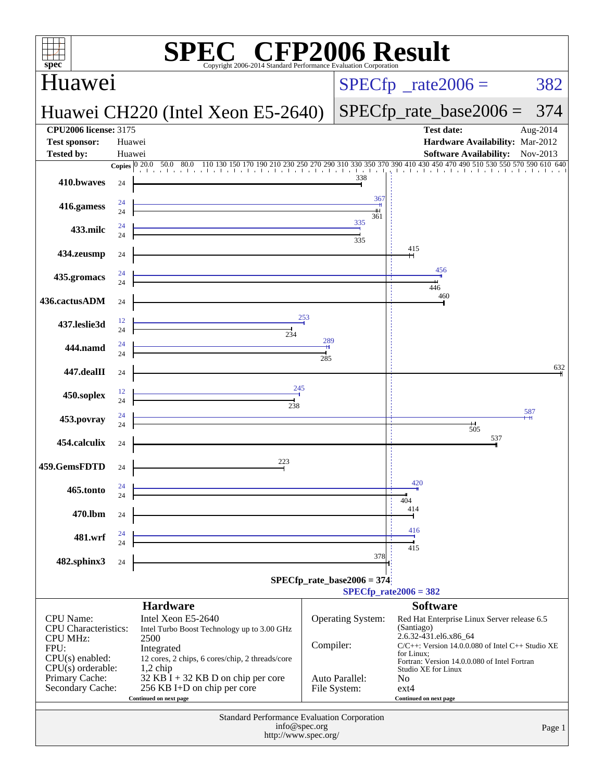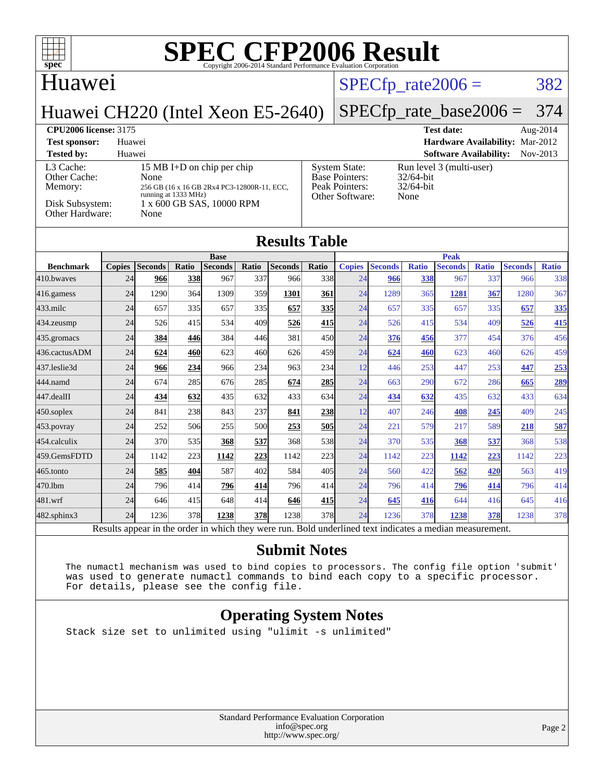## **Huawei**

## $SPECTp_rate2006 = 382$

## Huawei CH220 (Intel Xeon E5-2640)

# [SPECfp\\_rate\\_base2006 =](http://www.spec.org/auto/cpu2006/Docs/result-fields.html#SPECfpratebase2006) 374

#### **[CPU2006 license:](http://www.spec.org/auto/cpu2006/Docs/result-fields.html#CPU2006license)** 3175 **[Test date:](http://www.spec.org/auto/cpu2006/Docs/result-fields.html#Testdate)** Aug-2014

**[Test sponsor:](http://www.spec.org/auto/cpu2006/Docs/result-fields.html#Testsponsor)** Huawei **[Hardware Availability:](http://www.spec.org/auto/cpu2006/Docs/result-fields.html#HardwareAvailability)** Mar-2012 **[Tested by:](http://www.spec.org/auto/cpu2006/Docs/result-fields.html#Testedby)** Huawei **[Software Availability:](http://www.spec.org/auto/cpu2006/Docs/result-fields.html#SoftwareAvailability)** Nov-2013 [L3 Cache:](http://www.spec.org/auto/cpu2006/Docs/result-fields.html#L3Cache) 15 MB I+D on chip per chip<br>Other Cache: None [Other Cache:](http://www.spec.org/auto/cpu2006/Docs/result-fields.html#OtherCache) [Memory:](http://www.spec.org/auto/cpu2006/Docs/result-fields.html#Memory) 256 GB (16 x 16 GB 2Rx4 PC3-12800R-11, ECC, running at 1333 MHz) [Disk Subsystem:](http://www.spec.org/auto/cpu2006/Docs/result-fields.html#DiskSubsystem) 1 x 600 GB SAS, 10000 RPM [Other Hardware:](http://www.spec.org/auto/cpu2006/Docs/result-fields.html#OtherHardware) None [System State:](http://www.spec.org/auto/cpu2006/Docs/result-fields.html#SystemState) Run level 3 (multi-user)<br>Base Pointers: 32/64-bit [Base Pointers:](http://www.spec.org/auto/cpu2006/Docs/result-fields.html#BasePointers) [Peak Pointers:](http://www.spec.org/auto/cpu2006/Docs/result-fields.html#PeakPointers) 32/64-bit

| Disk Subsystem:<br>Other Hardware: |               | None           | running at 1333 MHz) | 1 x 600 GB SAS, 10000 RPM |       |                | Other Software:<br>None |               |                |              |                |              |                |              |  |
|------------------------------------|---------------|----------------|----------------------|---------------------------|-------|----------------|-------------------------|---------------|----------------|--------------|----------------|--------------|----------------|--------------|--|
| <b>Results Table</b>               |               |                |                      |                           |       |                |                         |               |                |              |                |              |                |              |  |
|                                    | <b>Base</b>   |                |                      |                           |       |                |                         | <b>Peak</b>   |                |              |                |              |                |              |  |
| <b>Benchmark</b>                   | <b>Copies</b> | <b>Seconds</b> | Ratio                | <b>Seconds</b>            | Ratio | <b>Seconds</b> | Ratio                   | <b>Copies</b> | <b>Seconds</b> | <b>Ratio</b> | <b>Seconds</b> | <b>Ratio</b> | <b>Seconds</b> | <b>Ratio</b> |  |
| 410.bwayes                         | 24            | 966            | 338                  | 967                       | 337   | 966            | 338                     | 24            | 966            | 338          | 967            | 337          | 966            | 338          |  |
| 416.gamess                         | 24            | 1290           | 364                  | 1309                      | 359   | 1301           | 361                     | 24            | 1289           | 365          | 1281           | 367          | 1280           | 367          |  |
| 433.milc                           | 24            | 657            | 335                  | 657                       | 335   | 657            | 335                     | 24            | 657            | 335          | 657            | 335          | 657            | 335          |  |
| 434.zeusmp                         | 24            | 526            | 415                  | 534                       | 409   | 526            | 415                     | 24            | 526            | 415          | 534            | 409          | 526            | 415          |  |
| 435.gromacs                        | 24            | 384            | 446                  | 384                       | 446   | 381            | 450                     | 24            | 376            | 456          | 377            | 454          | 376            | 456          |  |
| 436.cactusADM                      | 24            | 624            | 460                  | 623                       | 460   | 626            | 459                     | 24            | 624            | 460          | 623            | 460          | 626            | 459          |  |
| 437.leslie3d                       | 24            | 966            | 234                  | 966                       | 234   | 963            | 234                     | 12            | 446            | 253          | 447            | 253          | 447            | 253          |  |
| 444.namd                           | 24            | 674            | 285                  | 676                       | 285   | 674            | 285                     | 24            | 663            | 290          | 672            | 286          | 665            | 289          |  |
| 447.dealII                         | 24            | 434            | 632                  | 435                       | 632   | 433            | 634                     | 24            | 434            | 632          | 435            | 632          | 433            | 634          |  |
| 450.soplex                         | 24            | 841            | 238                  | 843                       | 237   | 841            | 238                     | 12            | 407            | 246          | 408            | 245          | 409            | 245          |  |
| 453.povray                         | 24            | 252            | 506                  | 255                       | 500   | 253            | 505                     | 24            | 221            | 579          | 217            | 589          | 218            | 587          |  |
| 454.calculix                       | 24            | 370            | 535                  | 368                       | 537   | 368            | 538                     | 24            | 370            | 535          | 368            | 537          | 368            | 538          |  |
| 459.GemsFDTD                       | 24            | 1142           | 223                  | 1142                      | 223   | 1142           | 223                     | 24            | 1142           | 223          | 1142           | 223          | 1142           | 223          |  |
| 465.tonto                          | 24            | 585            | 404                  | 587                       | 402   | 584            | 405                     | 24            | 560            | 422          | 562            | 420          | 563            | 419          |  |
| 470.1bm                            | 24            | 796            | 414                  | 796                       | 414   | 796            | 414                     | 24            | 796            | 414          | 796            | 414          | 796            | 414          |  |
| 481.wrf                            | 24            | 646            | 415                  | 648                       | 414   | 646            | 415                     | 24            | 645            | 416          | 644            | 416          | 645            | 416          |  |

[482.sphinx3](http://www.spec.org/auto/cpu2006/Docs/482.sphinx3.html) 24 1236 378 **[1238](http://www.spec.org/auto/cpu2006/Docs/result-fields.html#Median) [378](http://www.spec.org/auto/cpu2006/Docs/result-fields.html#Median)** 1238 378 24 1236 378 **[1238](http://www.spec.org/auto/cpu2006/Docs/result-fields.html#Median) [378](http://www.spec.org/auto/cpu2006/Docs/result-fields.html#Median)** 1238 378 Results appear in the [order in which they were run.](http://www.spec.org/auto/cpu2006/Docs/result-fields.html#RunOrder) Bold underlined text [indicates a median measurement.](http://www.spec.org/auto/cpu2006/Docs/result-fields.html#Median)

#### **[Submit Notes](http://www.spec.org/auto/cpu2006/Docs/result-fields.html#SubmitNotes)**

 The numactl mechanism was used to bind copies to processors. The config file option 'submit' was used to generate numactl commands to bind each copy to a specific processor. For details, please see the config file.

### **[Operating System Notes](http://www.spec.org/auto/cpu2006/Docs/result-fields.html#OperatingSystemNotes)**

Stack size set to unlimited using "ulimit -s unlimited"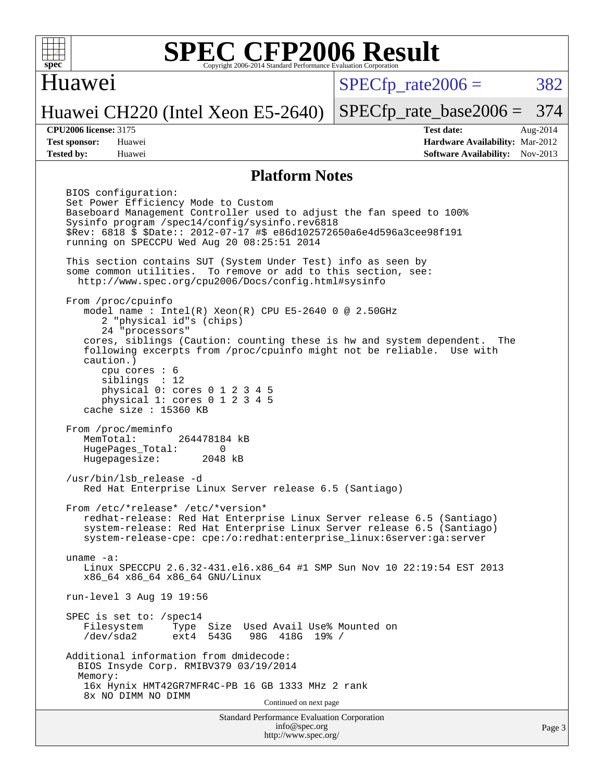

### Huawei

 $SPECTp\_rate2006 = 382$ 

[SPECfp\\_rate\\_base2006 =](http://www.spec.org/auto/cpu2006/Docs/result-fields.html#SPECfpratebase2006) 374

### Huawei CH220 (Intel Xeon E5-2640)

**[Tested by:](http://www.spec.org/auto/cpu2006/Docs/result-fields.html#Testedby)** Huawei **[Software Availability:](http://www.spec.org/auto/cpu2006/Docs/result-fields.html#SoftwareAvailability)** Nov-2013

**[CPU2006 license:](http://www.spec.org/auto/cpu2006/Docs/result-fields.html#CPU2006license)** 3175 **[Test date:](http://www.spec.org/auto/cpu2006/Docs/result-fields.html#Testdate)** Aug-2014 **[Test sponsor:](http://www.spec.org/auto/cpu2006/Docs/result-fields.html#Testsponsor)** Huawei **[Hardware Availability:](http://www.spec.org/auto/cpu2006/Docs/result-fields.html#HardwareAvailability)** Mar-2012

#### **[Platform Notes](http://www.spec.org/auto/cpu2006/Docs/result-fields.html#PlatformNotes)**

Standard Performance Evaluation Corporation [info@spec.org](mailto:info@spec.org) BIOS configuration: Set Power Efficiency Mode to Custom Baseboard Management Controller used to adjust the fan speed to 100% Sysinfo program /spec14/config/sysinfo.rev6818 \$Rev: 6818 \$ \$Date:: 2012-07-17 #\$ e86d102572650a6e4d596a3cee98f191 running on SPECCPU Wed Aug 20 08:25:51 2014 This section contains SUT (System Under Test) info as seen by some common utilities. To remove or add to this section, see: <http://www.spec.org/cpu2006/Docs/config.html#sysinfo> From /proc/cpuinfo model name : Intel(R) Xeon(R) CPU E5-2640 0 @ 2.50GHz 2 "physical id"s (chips) 24 "processors" cores, siblings (Caution: counting these is hw and system dependent. The following excerpts from /proc/cpuinfo might not be reliable. Use with caution.) cpu cores : 6 siblings : 12 physical 0: cores 0 1 2 3 4 5 physical 1: cores 0 1 2 3 4 5 cache size : 15360 KB From /proc/meminfo<br>MemTotal: 264478184 kB HugePages\_Total: 0<br>Hugepagesize: 2048 kB Hugepagesize: /usr/bin/lsb\_release -d Red Hat Enterprise Linux Server release 6.5 (Santiago) From /etc/\*release\* /etc/\*version\* redhat-release: Red Hat Enterprise Linux Server release 6.5 (Santiago) system-release: Red Hat Enterprise Linux Server release 6.5 (Santiago) system-release-cpe: cpe:/o:redhat:enterprise\_linux:6server:ga:server uname -a: Linux SPECCPU 2.6.32-431.el6.x86\_64 #1 SMP Sun Nov 10 22:19:54 EST 2013 x86\_64 x86\_64 x86\_64 GNU/Linux run-level 3 Aug 19 19:56 SPEC is set to: /spec14 Filesystem Type Size Used Avail Use% Mounted on /dev/sda2 ext4 543G 98G 418G 19% / Additional information from dmidecode: BIOS Insyde Corp. RMIBV379 03/19/2014 Memory: 16x Hynix HMT42GR7MFR4C-PB 16 GB 1333 MHz 2 rank 8x NO DIMM NO DIMM Continued on next page

<http://www.spec.org/>

Page 3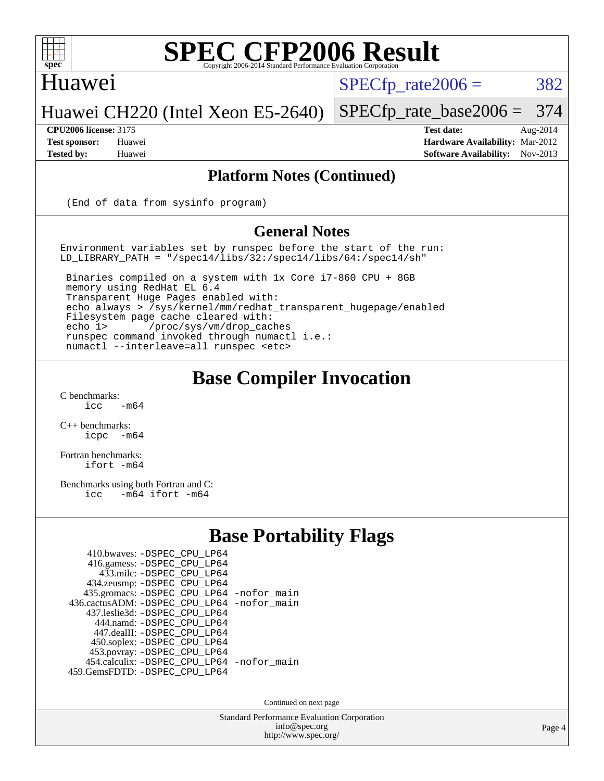

### Huawei

 $SPECTp\_rate2006 = 382$ 

### Huawei CH220 (Intel Xeon E5-2640)

#### **[CPU2006 license:](http://www.spec.org/auto/cpu2006/Docs/result-fields.html#CPU2006license)** 3175 **[Test date:](http://www.spec.org/auto/cpu2006/Docs/result-fields.html#Testdate)** Aug-2014

[SPECfp\\_rate\\_base2006 =](http://www.spec.org/auto/cpu2006/Docs/result-fields.html#SPECfpratebase2006) 374

**[Test sponsor:](http://www.spec.org/auto/cpu2006/Docs/result-fields.html#Testsponsor)** Huawei **[Hardware Availability:](http://www.spec.org/auto/cpu2006/Docs/result-fields.html#HardwareAvailability)** Mar-2012 **[Tested by:](http://www.spec.org/auto/cpu2006/Docs/result-fields.html#Testedby)** Huawei **[Software Availability:](http://www.spec.org/auto/cpu2006/Docs/result-fields.html#SoftwareAvailability)** Nov-2013

#### **[Platform Notes \(Continued\)](http://www.spec.org/auto/cpu2006/Docs/result-fields.html#PlatformNotes)**

(End of data from sysinfo program)

#### **[General Notes](http://www.spec.org/auto/cpu2006/Docs/result-fields.html#GeneralNotes)**

Environment variables set by runspec before the start of the run: LD\_LIBRARY\_PATH = "/spec14/libs/32:/spec14/libs/64:/spec14/sh"

 Binaries compiled on a system with 1x Core i7-860 CPU + 8GB memory using RedHat EL 6.4 Transparent Huge Pages enabled with: echo always > /sys/kernel/mm/redhat\_transparent\_hugepage/enabled Filesystem page cache cleared with: echo 1> /proc/sys/vm/drop\_caches runspec command invoked through numactl i.e.: numactl --interleave=all runspec <etc>

## **[Base Compiler Invocation](http://www.spec.org/auto/cpu2006/Docs/result-fields.html#BaseCompilerInvocation)**

 $C$  benchmarks:<br>icc  $-m64$ 

[C++ benchmarks:](http://www.spec.org/auto/cpu2006/Docs/result-fields.html#CXXbenchmarks) [icpc -m64](http://www.spec.org/cpu2006/results/res2014q3/cpu2006-20140902-31154.flags.html#user_CXXbase_intel_icpc_64bit_bedb90c1146cab66620883ef4f41a67e)

[Fortran benchmarks](http://www.spec.org/auto/cpu2006/Docs/result-fields.html#Fortranbenchmarks): [ifort -m64](http://www.spec.org/cpu2006/results/res2014q3/cpu2006-20140902-31154.flags.html#user_FCbase_intel_ifort_64bit_ee9d0fb25645d0210d97eb0527dcc06e)

[Benchmarks using both Fortran and C](http://www.spec.org/auto/cpu2006/Docs/result-fields.html#BenchmarksusingbothFortranandC): [icc -m64](http://www.spec.org/cpu2006/results/res2014q3/cpu2006-20140902-31154.flags.html#user_CC_FCbase_intel_icc_64bit_0b7121f5ab7cfabee23d88897260401c) [ifort -m64](http://www.spec.org/cpu2006/results/res2014q3/cpu2006-20140902-31154.flags.html#user_CC_FCbase_intel_ifort_64bit_ee9d0fb25645d0210d97eb0527dcc06e)

## **[Base Portability Flags](http://www.spec.org/auto/cpu2006/Docs/result-fields.html#BasePortabilityFlags)**

| 410.bwaves: -DSPEC CPU LP64                |  |
|--------------------------------------------|--|
| 416.gamess: -DSPEC_CPU_LP64                |  |
| 433.milc: -DSPEC CPU LP64                  |  |
| 434.zeusmp: -DSPEC_CPU_LP64                |  |
| 435.gromacs: -DSPEC_CPU_LP64 -nofor_main   |  |
| 436.cactusADM: -DSPEC CPU LP64 -nofor main |  |
| 437.leslie3d: -DSPEC CPU LP64              |  |
| 444.namd: - DSPEC CPU LP64                 |  |
| 447.dealII: -DSPEC_CPU LP64                |  |
| 450.soplex: -DSPEC_CPU_LP64                |  |
| 453.povray: -DSPEC_CPU_LP64                |  |
| 454.calculix: - DSPEC_CPU_LP64 -nofor_main |  |
| 459. GemsFDTD: - DSPEC CPU LP64            |  |

Continued on next page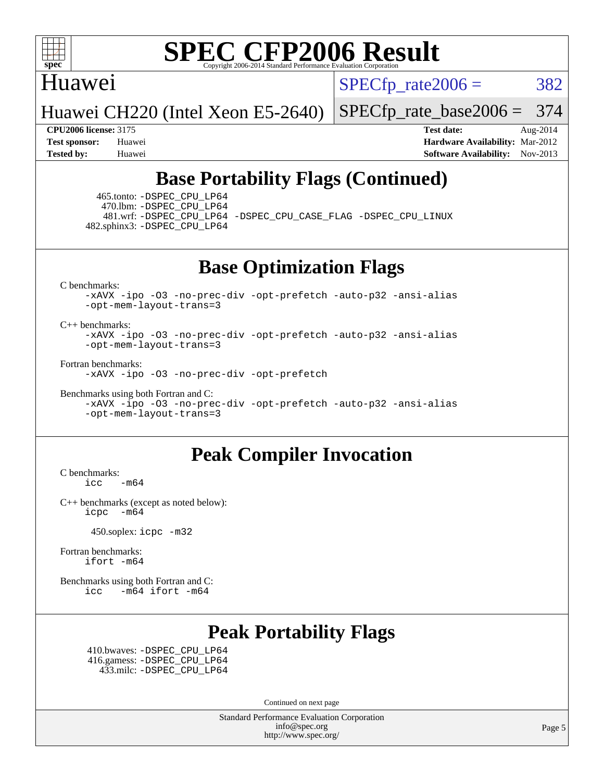

### Huawei

 $SPECTp\_rate2006 = 382$ 

Huawei CH220 (Intel Xeon E5-2640)

[SPECfp\\_rate\\_base2006 =](http://www.spec.org/auto/cpu2006/Docs/result-fields.html#SPECfpratebase2006) 374

**[CPU2006 license:](http://www.spec.org/auto/cpu2006/Docs/result-fields.html#CPU2006license)** 3175 **[Test date:](http://www.spec.org/auto/cpu2006/Docs/result-fields.html#Testdate)** Aug-2014 **[Test sponsor:](http://www.spec.org/auto/cpu2006/Docs/result-fields.html#Testsponsor)** Huawei **[Hardware Availability:](http://www.spec.org/auto/cpu2006/Docs/result-fields.html#HardwareAvailability)** Mar-2012 **[Tested by:](http://www.spec.org/auto/cpu2006/Docs/result-fields.html#Testedby)** Huawei **[Software Availability:](http://www.spec.org/auto/cpu2006/Docs/result-fields.html#SoftwareAvailability)** Nov-2013

## **[Base Portability Flags \(Continued\)](http://www.spec.org/auto/cpu2006/Docs/result-fields.html#BasePortabilityFlags)**

 465.tonto: [-DSPEC\\_CPU\\_LP64](http://www.spec.org/cpu2006/results/res2014q3/cpu2006-20140902-31154.flags.html#suite_basePORTABILITY465_tonto_DSPEC_CPU_LP64) 470.lbm: [-DSPEC\\_CPU\\_LP64](http://www.spec.org/cpu2006/results/res2014q3/cpu2006-20140902-31154.flags.html#suite_basePORTABILITY470_lbm_DSPEC_CPU_LP64) 482.sphinx3: [-DSPEC\\_CPU\\_LP64](http://www.spec.org/cpu2006/results/res2014q3/cpu2006-20140902-31154.flags.html#suite_basePORTABILITY482_sphinx3_DSPEC_CPU_LP64)

481.wrf: [-DSPEC\\_CPU\\_LP64](http://www.spec.org/cpu2006/results/res2014q3/cpu2006-20140902-31154.flags.html#suite_basePORTABILITY481_wrf_DSPEC_CPU_LP64) [-DSPEC\\_CPU\\_CASE\\_FLAG](http://www.spec.org/cpu2006/results/res2014q3/cpu2006-20140902-31154.flags.html#b481.wrf_baseCPORTABILITY_DSPEC_CPU_CASE_FLAG) [-DSPEC\\_CPU\\_LINUX](http://www.spec.org/cpu2006/results/res2014q3/cpu2006-20140902-31154.flags.html#b481.wrf_baseCPORTABILITY_DSPEC_CPU_LINUX)

**[Base Optimization Flags](http://www.spec.org/auto/cpu2006/Docs/result-fields.html#BaseOptimizationFlags)**

[C benchmarks](http://www.spec.org/auto/cpu2006/Docs/result-fields.html#Cbenchmarks):

[-xAVX](http://www.spec.org/cpu2006/results/res2014q3/cpu2006-20140902-31154.flags.html#user_CCbase_f-xAVX) [-ipo](http://www.spec.org/cpu2006/results/res2014q3/cpu2006-20140902-31154.flags.html#user_CCbase_f-ipo) [-O3](http://www.spec.org/cpu2006/results/res2014q3/cpu2006-20140902-31154.flags.html#user_CCbase_f-O3) [-no-prec-div](http://www.spec.org/cpu2006/results/res2014q3/cpu2006-20140902-31154.flags.html#user_CCbase_f-no-prec-div) [-opt-prefetch](http://www.spec.org/cpu2006/results/res2014q3/cpu2006-20140902-31154.flags.html#user_CCbase_f-opt-prefetch) [-auto-p32](http://www.spec.org/cpu2006/results/res2014q3/cpu2006-20140902-31154.flags.html#user_CCbase_f-auto-p32) [-ansi-alias](http://www.spec.org/cpu2006/results/res2014q3/cpu2006-20140902-31154.flags.html#user_CCbase_f-ansi-alias) [-opt-mem-layout-trans=3](http://www.spec.org/cpu2006/results/res2014q3/cpu2006-20140902-31154.flags.html#user_CCbase_f-opt-mem-layout-trans_a7b82ad4bd7abf52556d4961a2ae94d5)

[C++ benchmarks:](http://www.spec.org/auto/cpu2006/Docs/result-fields.html#CXXbenchmarks)

[-xAVX](http://www.spec.org/cpu2006/results/res2014q3/cpu2006-20140902-31154.flags.html#user_CXXbase_f-xAVX) [-ipo](http://www.spec.org/cpu2006/results/res2014q3/cpu2006-20140902-31154.flags.html#user_CXXbase_f-ipo) [-O3](http://www.spec.org/cpu2006/results/res2014q3/cpu2006-20140902-31154.flags.html#user_CXXbase_f-O3) [-no-prec-div](http://www.spec.org/cpu2006/results/res2014q3/cpu2006-20140902-31154.flags.html#user_CXXbase_f-no-prec-div) [-opt-prefetch](http://www.spec.org/cpu2006/results/res2014q3/cpu2006-20140902-31154.flags.html#user_CXXbase_f-opt-prefetch) [-auto-p32](http://www.spec.org/cpu2006/results/res2014q3/cpu2006-20140902-31154.flags.html#user_CXXbase_f-auto-p32) [-ansi-alias](http://www.spec.org/cpu2006/results/res2014q3/cpu2006-20140902-31154.flags.html#user_CXXbase_f-ansi-alias) [-opt-mem-layout-trans=3](http://www.spec.org/cpu2006/results/res2014q3/cpu2006-20140902-31154.flags.html#user_CXXbase_f-opt-mem-layout-trans_a7b82ad4bd7abf52556d4961a2ae94d5)

[Fortran benchmarks](http://www.spec.org/auto/cpu2006/Docs/result-fields.html#Fortranbenchmarks):

[-xAVX](http://www.spec.org/cpu2006/results/res2014q3/cpu2006-20140902-31154.flags.html#user_FCbase_f-xAVX) [-ipo](http://www.spec.org/cpu2006/results/res2014q3/cpu2006-20140902-31154.flags.html#user_FCbase_f-ipo) [-O3](http://www.spec.org/cpu2006/results/res2014q3/cpu2006-20140902-31154.flags.html#user_FCbase_f-O3) [-no-prec-div](http://www.spec.org/cpu2006/results/res2014q3/cpu2006-20140902-31154.flags.html#user_FCbase_f-no-prec-div) [-opt-prefetch](http://www.spec.org/cpu2006/results/res2014q3/cpu2006-20140902-31154.flags.html#user_FCbase_f-opt-prefetch)

[Benchmarks using both Fortran and C](http://www.spec.org/auto/cpu2006/Docs/result-fields.html#BenchmarksusingbothFortranandC):

[-xAVX](http://www.spec.org/cpu2006/results/res2014q3/cpu2006-20140902-31154.flags.html#user_CC_FCbase_f-xAVX) [-ipo](http://www.spec.org/cpu2006/results/res2014q3/cpu2006-20140902-31154.flags.html#user_CC_FCbase_f-ipo) [-O3](http://www.spec.org/cpu2006/results/res2014q3/cpu2006-20140902-31154.flags.html#user_CC_FCbase_f-O3) [-no-prec-div](http://www.spec.org/cpu2006/results/res2014q3/cpu2006-20140902-31154.flags.html#user_CC_FCbase_f-no-prec-div) [-opt-prefetch](http://www.spec.org/cpu2006/results/res2014q3/cpu2006-20140902-31154.flags.html#user_CC_FCbase_f-opt-prefetch) [-auto-p32](http://www.spec.org/cpu2006/results/res2014q3/cpu2006-20140902-31154.flags.html#user_CC_FCbase_f-auto-p32) [-ansi-alias](http://www.spec.org/cpu2006/results/res2014q3/cpu2006-20140902-31154.flags.html#user_CC_FCbase_f-ansi-alias) [-opt-mem-layout-trans=3](http://www.spec.org/cpu2006/results/res2014q3/cpu2006-20140902-31154.flags.html#user_CC_FCbase_f-opt-mem-layout-trans_a7b82ad4bd7abf52556d4961a2ae94d5)

## **[Peak Compiler Invocation](http://www.spec.org/auto/cpu2006/Docs/result-fields.html#PeakCompilerInvocation)**

[C benchmarks](http://www.spec.org/auto/cpu2006/Docs/result-fields.html#Cbenchmarks):  $\text{icc}$   $-\text{m64}$ 

[C++ benchmarks \(except as noted below\):](http://www.spec.org/auto/cpu2006/Docs/result-fields.html#CXXbenchmarksexceptasnotedbelow) [icpc -m64](http://www.spec.org/cpu2006/results/res2014q3/cpu2006-20140902-31154.flags.html#user_CXXpeak_intel_icpc_64bit_bedb90c1146cab66620883ef4f41a67e)

450.soplex: [icpc -m32](http://www.spec.org/cpu2006/results/res2014q3/cpu2006-20140902-31154.flags.html#user_peakCXXLD450_soplex_intel_icpc_4e5a5ef1a53fd332b3c49e69c3330699)

[Fortran benchmarks](http://www.spec.org/auto/cpu2006/Docs/result-fields.html#Fortranbenchmarks): [ifort -m64](http://www.spec.org/cpu2006/results/res2014q3/cpu2006-20140902-31154.flags.html#user_FCpeak_intel_ifort_64bit_ee9d0fb25645d0210d97eb0527dcc06e)

[Benchmarks using both Fortran and C](http://www.spec.org/auto/cpu2006/Docs/result-fields.html#BenchmarksusingbothFortranandC): [icc -m64](http://www.spec.org/cpu2006/results/res2014q3/cpu2006-20140902-31154.flags.html#user_CC_FCpeak_intel_icc_64bit_0b7121f5ab7cfabee23d88897260401c) [ifort -m64](http://www.spec.org/cpu2006/results/res2014q3/cpu2006-20140902-31154.flags.html#user_CC_FCpeak_intel_ifort_64bit_ee9d0fb25645d0210d97eb0527dcc06e)

## **[Peak Portability Flags](http://www.spec.org/auto/cpu2006/Docs/result-fields.html#PeakPortabilityFlags)**

 410.bwaves: [-DSPEC\\_CPU\\_LP64](http://www.spec.org/cpu2006/results/res2014q3/cpu2006-20140902-31154.flags.html#suite_peakPORTABILITY410_bwaves_DSPEC_CPU_LP64) 416.gamess: [-DSPEC\\_CPU\\_LP64](http://www.spec.org/cpu2006/results/res2014q3/cpu2006-20140902-31154.flags.html#suite_peakPORTABILITY416_gamess_DSPEC_CPU_LP64) 433.milc: [-DSPEC\\_CPU\\_LP64](http://www.spec.org/cpu2006/results/res2014q3/cpu2006-20140902-31154.flags.html#suite_peakPORTABILITY433_milc_DSPEC_CPU_LP64)

Continued on next page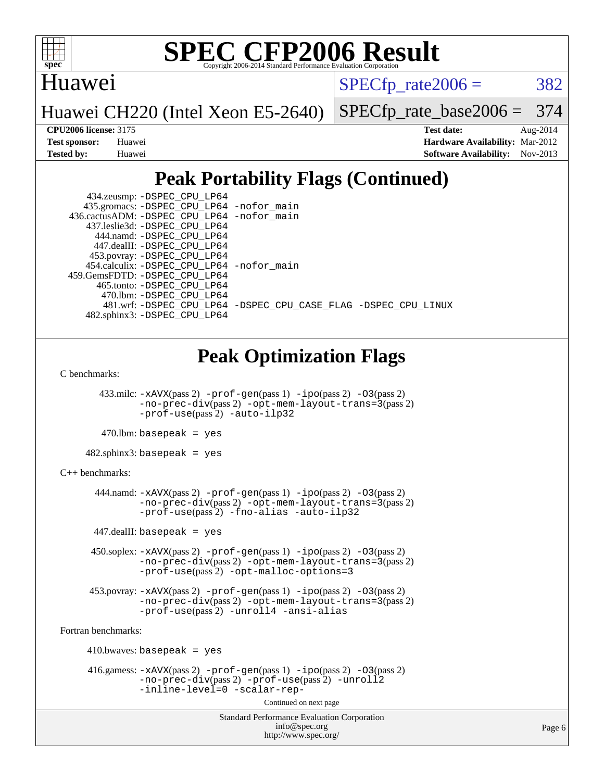

## Huawei

 $SPECTp\_rate2006 = 382$ 

Huawei CH220 (Intel Xeon E5-2640)

[SPECfp\\_rate\\_base2006 =](http://www.spec.org/auto/cpu2006/Docs/result-fields.html#SPECfpratebase2006) 374

**[CPU2006 license:](http://www.spec.org/auto/cpu2006/Docs/result-fields.html#CPU2006license)** 3175 **[Test date:](http://www.spec.org/auto/cpu2006/Docs/result-fields.html#Testdate)** Aug-2014 **[Test sponsor:](http://www.spec.org/auto/cpu2006/Docs/result-fields.html#Testsponsor)** Huawei **[Hardware Availability:](http://www.spec.org/auto/cpu2006/Docs/result-fields.html#HardwareAvailability)** Mar-2012 **[Tested by:](http://www.spec.org/auto/cpu2006/Docs/result-fields.html#Testedby)** Huawei **[Software Availability:](http://www.spec.org/auto/cpu2006/Docs/result-fields.html#SoftwareAvailability)** Nov-2013

## **[Peak Portability Flags \(Continued\)](http://www.spec.org/auto/cpu2006/Docs/result-fields.html#PeakPortabilityFlags)**

| 434.zeusmp: - DSPEC_CPU_LP64                                   |  |
|----------------------------------------------------------------|--|
| 435.gromacs: -DSPEC_CPU_LP64 -nofor_main                       |  |
| 436.cactusADM: - DSPEC CPU LP64 - nofor main                   |  |
| 437.leslie3d: -DSPEC CPU LP64                                  |  |
| 444.namd: -DSPEC CPU LP64                                      |  |
| 447.dealII: -DSPEC_CPU_LP64                                    |  |
| 453.povray: -DSPEC_CPU_LP64                                    |  |
| 454.calculix: -DSPEC CPU LP64 -nofor main                      |  |
| 459.GemsFDTD: -DSPEC CPU LP64                                  |  |
| 465.tonto: -DSPEC CPU LP64                                     |  |
| 470.1bm: - DSPEC CPU LP64                                      |  |
| 481.wrf: -DSPEC CPU_LP64 -DSPEC_CPU_CASE_FLAG -DSPEC_CPU_LINUX |  |
| 482.sphinx3: -DSPEC CPU LP64                                   |  |

## **[Peak Optimization Flags](http://www.spec.org/auto/cpu2006/Docs/result-fields.html#PeakOptimizationFlags)**

[C benchmarks](http://www.spec.org/auto/cpu2006/Docs/result-fields.html#Cbenchmarks):

 433.milc: [-xAVX](http://www.spec.org/cpu2006/results/res2014q3/cpu2006-20140902-31154.flags.html#user_peakPASS2_CFLAGSPASS2_LDFLAGS433_milc_f-xAVX)(pass 2) [-prof-gen](http://www.spec.org/cpu2006/results/res2014q3/cpu2006-20140902-31154.flags.html#user_peakPASS1_CFLAGSPASS1_LDFLAGS433_milc_prof_gen_e43856698f6ca7b7e442dfd80e94a8fc)(pass 1) [-ipo](http://www.spec.org/cpu2006/results/res2014q3/cpu2006-20140902-31154.flags.html#user_peakPASS2_CFLAGSPASS2_LDFLAGS433_milc_f-ipo)(pass 2) [-O3](http://www.spec.org/cpu2006/results/res2014q3/cpu2006-20140902-31154.flags.html#user_peakPASS2_CFLAGSPASS2_LDFLAGS433_milc_f-O3)(pass 2) [-no-prec-div](http://www.spec.org/cpu2006/results/res2014q3/cpu2006-20140902-31154.flags.html#user_peakPASS2_CFLAGSPASS2_LDFLAGS433_milc_f-no-prec-div)(pass 2) [-opt-mem-layout-trans=3](http://www.spec.org/cpu2006/results/res2014q3/cpu2006-20140902-31154.flags.html#user_peakPASS2_CFLAGS433_milc_f-opt-mem-layout-trans_a7b82ad4bd7abf52556d4961a2ae94d5)(pass 2) [-prof-use](http://www.spec.org/cpu2006/results/res2014q3/cpu2006-20140902-31154.flags.html#user_peakPASS2_CFLAGSPASS2_LDFLAGS433_milc_prof_use_bccf7792157ff70d64e32fe3e1250b55)(pass 2) [-auto-ilp32](http://www.spec.org/cpu2006/results/res2014q3/cpu2006-20140902-31154.flags.html#user_peakCOPTIMIZE433_milc_f-auto-ilp32)

 $470.$ lbm: basepeak = yes

482.sphinx3: basepeak = yes

```
C++ benchmarks:
```
 444.namd: [-xAVX](http://www.spec.org/cpu2006/results/res2014q3/cpu2006-20140902-31154.flags.html#user_peakPASS2_CXXFLAGSPASS2_LDFLAGS444_namd_f-xAVX)(pass 2) [-prof-gen](http://www.spec.org/cpu2006/results/res2014q3/cpu2006-20140902-31154.flags.html#user_peakPASS1_CXXFLAGSPASS1_LDFLAGS444_namd_prof_gen_e43856698f6ca7b7e442dfd80e94a8fc)(pass 1) [-ipo](http://www.spec.org/cpu2006/results/res2014q3/cpu2006-20140902-31154.flags.html#user_peakPASS2_CXXFLAGSPASS2_LDFLAGS444_namd_f-ipo)(pass 2) [-O3](http://www.spec.org/cpu2006/results/res2014q3/cpu2006-20140902-31154.flags.html#user_peakPASS2_CXXFLAGSPASS2_LDFLAGS444_namd_f-O3)(pass 2) [-no-prec-div](http://www.spec.org/cpu2006/results/res2014q3/cpu2006-20140902-31154.flags.html#user_peakPASS2_CXXFLAGSPASS2_LDFLAGS444_namd_f-no-prec-div)(pass 2) [-opt-mem-layout-trans=3](http://www.spec.org/cpu2006/results/res2014q3/cpu2006-20140902-31154.flags.html#user_peakPASS2_CXXFLAGS444_namd_f-opt-mem-layout-trans_a7b82ad4bd7abf52556d4961a2ae94d5)(pass 2) [-prof-use](http://www.spec.org/cpu2006/results/res2014q3/cpu2006-20140902-31154.flags.html#user_peakPASS2_CXXFLAGSPASS2_LDFLAGS444_namd_prof_use_bccf7792157ff70d64e32fe3e1250b55)(pass 2) [-fno-alias](http://www.spec.org/cpu2006/results/res2014q3/cpu2006-20140902-31154.flags.html#user_peakCXXOPTIMIZE444_namd_f-no-alias_694e77f6c5a51e658e82ccff53a9e63a) [-auto-ilp32](http://www.spec.org/cpu2006/results/res2014q3/cpu2006-20140902-31154.flags.html#user_peakCXXOPTIMIZE444_namd_f-auto-ilp32)

 $447$ .dealII: basepeak = yes

 450.soplex: [-xAVX](http://www.spec.org/cpu2006/results/res2014q3/cpu2006-20140902-31154.flags.html#user_peakPASS2_CXXFLAGSPASS2_LDFLAGS450_soplex_f-xAVX)(pass 2) [-prof-gen](http://www.spec.org/cpu2006/results/res2014q3/cpu2006-20140902-31154.flags.html#user_peakPASS1_CXXFLAGSPASS1_LDFLAGS450_soplex_prof_gen_e43856698f6ca7b7e442dfd80e94a8fc)(pass 1) [-ipo](http://www.spec.org/cpu2006/results/res2014q3/cpu2006-20140902-31154.flags.html#user_peakPASS2_CXXFLAGSPASS2_LDFLAGS450_soplex_f-ipo)(pass 2) [-O3](http://www.spec.org/cpu2006/results/res2014q3/cpu2006-20140902-31154.flags.html#user_peakPASS2_CXXFLAGSPASS2_LDFLAGS450_soplex_f-O3)(pass 2) [-no-prec-div](http://www.spec.org/cpu2006/results/res2014q3/cpu2006-20140902-31154.flags.html#user_peakPASS2_CXXFLAGSPASS2_LDFLAGS450_soplex_f-no-prec-div)(pass 2) [-opt-mem-layout-trans=3](http://www.spec.org/cpu2006/results/res2014q3/cpu2006-20140902-31154.flags.html#user_peakPASS2_CXXFLAGS450_soplex_f-opt-mem-layout-trans_a7b82ad4bd7abf52556d4961a2ae94d5)(pass 2) [-prof-use](http://www.spec.org/cpu2006/results/res2014q3/cpu2006-20140902-31154.flags.html#user_peakPASS2_CXXFLAGSPASS2_LDFLAGS450_soplex_prof_use_bccf7792157ff70d64e32fe3e1250b55)(pass 2) [-opt-malloc-options=3](http://www.spec.org/cpu2006/results/res2014q3/cpu2006-20140902-31154.flags.html#user_peakOPTIMIZE450_soplex_f-opt-malloc-options_13ab9b803cf986b4ee62f0a5998c2238)

 453.povray: [-xAVX](http://www.spec.org/cpu2006/results/res2014q3/cpu2006-20140902-31154.flags.html#user_peakPASS2_CXXFLAGSPASS2_LDFLAGS453_povray_f-xAVX)(pass 2) [-prof-gen](http://www.spec.org/cpu2006/results/res2014q3/cpu2006-20140902-31154.flags.html#user_peakPASS1_CXXFLAGSPASS1_LDFLAGS453_povray_prof_gen_e43856698f6ca7b7e442dfd80e94a8fc)(pass 1) [-ipo](http://www.spec.org/cpu2006/results/res2014q3/cpu2006-20140902-31154.flags.html#user_peakPASS2_CXXFLAGSPASS2_LDFLAGS453_povray_f-ipo)(pass 2) [-O3](http://www.spec.org/cpu2006/results/res2014q3/cpu2006-20140902-31154.flags.html#user_peakPASS2_CXXFLAGSPASS2_LDFLAGS453_povray_f-O3)(pass 2) [-no-prec-div](http://www.spec.org/cpu2006/results/res2014q3/cpu2006-20140902-31154.flags.html#user_peakPASS2_CXXFLAGSPASS2_LDFLAGS453_povray_f-no-prec-div)(pass 2) [-opt-mem-layout-trans=3](http://www.spec.org/cpu2006/results/res2014q3/cpu2006-20140902-31154.flags.html#user_peakPASS2_CXXFLAGS453_povray_f-opt-mem-layout-trans_a7b82ad4bd7abf52556d4961a2ae94d5)(pass 2) [-prof-use](http://www.spec.org/cpu2006/results/res2014q3/cpu2006-20140902-31154.flags.html#user_peakPASS2_CXXFLAGSPASS2_LDFLAGS453_povray_prof_use_bccf7792157ff70d64e32fe3e1250b55)(pass 2) [-unroll4](http://www.spec.org/cpu2006/results/res2014q3/cpu2006-20140902-31154.flags.html#user_peakCXXOPTIMIZE453_povray_f-unroll_4e5e4ed65b7fd20bdcd365bec371b81f) [-ansi-alias](http://www.spec.org/cpu2006/results/res2014q3/cpu2006-20140902-31154.flags.html#user_peakCXXOPTIMIZE453_povray_f-ansi-alias)

[Fortran benchmarks](http://www.spec.org/auto/cpu2006/Docs/result-fields.html#Fortranbenchmarks):

 410.bwaves: basepeak = yes 416.gamess: [-xAVX](http://www.spec.org/cpu2006/results/res2014q3/cpu2006-20140902-31154.flags.html#user_peakPASS2_FFLAGSPASS2_LDFLAGS416_gamess_f-xAVX)(pass 2) [-prof-gen](http://www.spec.org/cpu2006/results/res2014q3/cpu2006-20140902-31154.flags.html#user_peakPASS1_FFLAGSPASS1_LDFLAGS416_gamess_prof_gen_e43856698f6ca7b7e442dfd80e94a8fc)(pass 1) [-ipo](http://www.spec.org/cpu2006/results/res2014q3/cpu2006-20140902-31154.flags.html#user_peakPASS2_FFLAGSPASS2_LDFLAGS416_gamess_f-ipo)(pass 2) [-O3](http://www.spec.org/cpu2006/results/res2014q3/cpu2006-20140902-31154.flags.html#user_peakPASS2_FFLAGSPASS2_LDFLAGS416_gamess_f-O3)(pass 2) [-no-prec-div](http://www.spec.org/cpu2006/results/res2014q3/cpu2006-20140902-31154.flags.html#user_peakPASS2_FFLAGSPASS2_LDFLAGS416_gamess_f-no-prec-div)(pass 2) [-prof-use](http://www.spec.org/cpu2006/results/res2014q3/cpu2006-20140902-31154.flags.html#user_peakPASS2_FFLAGSPASS2_LDFLAGS416_gamess_prof_use_bccf7792157ff70d64e32fe3e1250b55)(pass 2) [-unroll2](http://www.spec.org/cpu2006/results/res2014q3/cpu2006-20140902-31154.flags.html#user_peakOPTIMIZE416_gamess_f-unroll_784dae83bebfb236979b41d2422d7ec2) [-inline-level=0](http://www.spec.org/cpu2006/results/res2014q3/cpu2006-20140902-31154.flags.html#user_peakOPTIMIZE416_gamess_f-inline-level_318d07a09274ad25e8d15dbfaa68ba50) [-scalar-rep-](http://www.spec.org/cpu2006/results/res2014q3/cpu2006-20140902-31154.flags.html#user_peakOPTIMIZE416_gamess_f-disablescalarrep_abbcad04450fb118e4809c81d83c8a1d)

Continued on next page